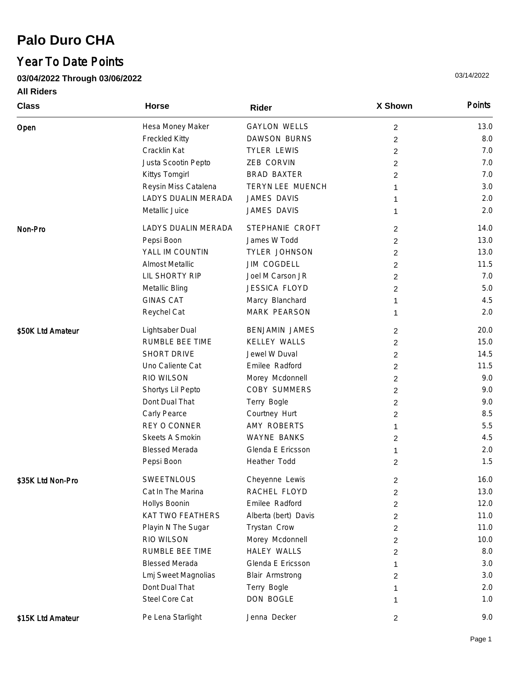## **Palo Duro CHA**

## Year To Date Points

**03/04/2022 Through 03/06/2022**

**All Riders**

| <b>Class</b>      | <b>Horse</b>           | Rider                 | X Shown        | Points |
|-------------------|------------------------|-----------------------|----------------|--------|
| Open              | Hesa Money Maker       | <b>GAYLON WELLS</b>   | $\overline{c}$ | 13.0   |
|                   | Freckled Kitty         | <b>DAWSON BURNS</b>   | $\overline{c}$ | 8.0    |
|                   | Cracklin Kat           | <b>TYLER LEWIS</b>    | 2              | 7.0    |
|                   | Justa Scootin Pepto    | ZEB CORVIN            | $\overline{c}$ | 7.0    |
|                   | Kittys Tomgirl         | <b>BRAD BAXTER</b>    | $\overline{c}$ | 7.0    |
|                   | Reysin Miss Catalena   | TERYN LEE MUENCH      | 1              | 3.0    |
|                   | LADYS DUALIN MERADA    | JAMES DAVIS           | 1              | 2.0    |
|                   | Metallic Juice         | JAMES DAVIS           | 1              | 2.0    |
| Non-Pro           | LADYS DUALIN MERADA    | STEPHANIE CROFT       | 2              | 14.0   |
|                   | Pepsi Boon             | James W Todd          | $\overline{c}$ | 13.0   |
|                   | YALL IM COUNTIN        | TYLER JOHNSON         | $\overline{c}$ | 13.0   |
|                   | <b>Almost Metallic</b> | <b>JIM COGDELL</b>    | $\overline{c}$ | 11.5   |
|                   | LIL SHORTY RIP         | Joel M Carson JR      | $\overline{c}$ | 7.0    |
|                   | Metallic Bling         | <b>JESSICA FLOYD</b>  | $\overline{c}$ | 5.0    |
|                   | <b>GINAS CAT</b>       | Marcy Blanchard       | 1              | 4.5    |
|                   | Reychel Cat            | MARK PEARSON          | 1              | 2.0    |
| \$50K Ltd Amateur | Lightsaber Dual        | <b>BENJAMIN JAMES</b> | 2              | 20.0   |
|                   | RUMBLE BEE TIME        | <b>KELLEY WALLS</b>   | $\overline{c}$ | 15.0   |
|                   | SHORT DRIVE            | Jewel W Duval         | $\overline{c}$ | 14.5   |
|                   | Uno Caliente Cat       | Emilee Radford        | $\overline{c}$ | 11.5   |
|                   | RIO WILSON             | Morey Mcdonnell       | $\overline{c}$ | 9.0    |
|                   | Shortys Lil Pepto      | COBY SUMMERS          | $\overline{c}$ | 9.0    |
|                   | Dont Dual That         | Terry Bogle           | 2              | 9.0    |
|                   | Carly Pearce           | Courtney Hurt         | $\overline{c}$ | 8.5    |
|                   | REY O CONNER           | AMY ROBERTS           | 1              | 5.5    |
|                   | Skeets A Smokin        | <b>WAYNE BANKS</b>    | 2              | 4.5    |
|                   | <b>Blessed Merada</b>  | Glenda E Ericsson     | 1              | 2.0    |
|                   | Pepsi Boon             | Heather Todd          | 2              | 1.5    |
| \$35K Ltd Non-Pro | SWEETNLOUS             | Cheyenne Lewis        | 2              | 16.0   |
|                   | Cat In The Marina      | RACHEL FLOYD          | 2              | 13.0   |
|                   | Hollys Boonin          | Emilee Radford        | 2              | 12.0   |
|                   | KAT TWO FEATHERS       | Alberta (bert) Davis  | 2              | 11.0   |
|                   | Playin N The Sugar     | Trystan Crow          | 2              | 11.0   |
|                   | RIO WILSON             | Morey Mcdonnell       | 2              | 10.0   |
|                   | RUMBLE BEE TIME        | <b>HALEY WALLS</b>    | 2              | 8.0    |
|                   | <b>Blessed Merada</b>  | Glenda E Ericsson     | 1              | 3.0    |
|                   | Lmj Sweet Magnolias    | Blair Armstrong       | 2              | 3.0    |
|                   | Dont Dual That         | Terry Bogle           | 1              | 2.0    |
|                   | Steel Core Cat         | DON BOGLE             | 1              | 1.0    |
| \$15K Ltd Amateur | Pe Lena Starlight      | Jenna Decker          | 2              | 9.0    |

03/14/2022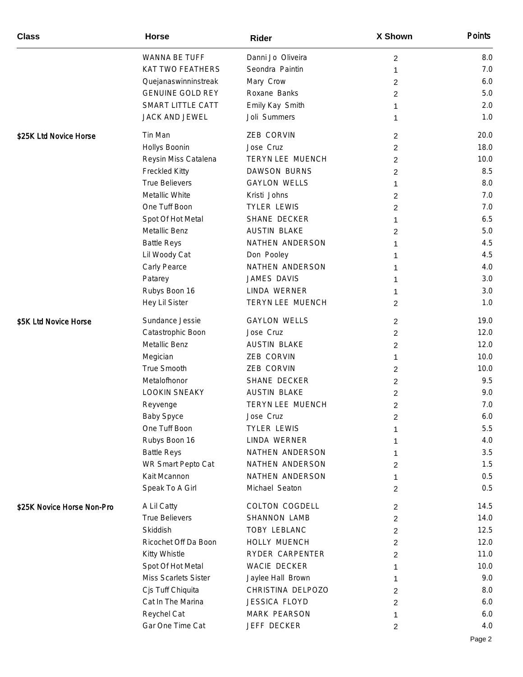| <b>Class</b>               | <b>Horse</b>            | Rider                | X Shown        | Points |
|----------------------------|-------------------------|----------------------|----------------|--------|
|                            | WANNA BE TUFF           | Danni Jo Oliveira    | $\overline{c}$ | 8.0    |
|                            | KAT TWO FEATHERS        | Seondra Paintin      | 1              | 7.0    |
|                            | Quejanaswinninstreak    | Mary Crow            | $\overline{c}$ | 6.0    |
|                            | <b>GENUINE GOLD REY</b> | Roxane Banks         | $\overline{c}$ | 5.0    |
|                            | SMART LITTLE CATT       | Emily Kay Smith      | 1              | 2.0    |
|                            | JACK AND JEWEL          | Joli Summers         | 1              | 1.0    |
| \$25K Ltd Novice Horse     | Tin Man                 | ZEB CORVIN           | $\overline{2}$ | 20.0   |
|                            | Hollys Boonin           | Jose Cruz            | 2              | 18.0   |
|                            | Reysin Miss Catalena    | TERYN LEE MUENCH     | $\overline{2}$ | 10.0   |
|                            | Freckled Kitty          | <b>DAWSON BURNS</b>  | $\overline{2}$ | 8.5    |
|                            | <b>True Believers</b>   | <b>GAYLON WELLS</b>  | 1              | 8.0    |
|                            | Metallic White          | Kristi Johns         | $\overline{2}$ | 7.0    |
|                            | One Tuff Boon           | <b>TYLER LEWIS</b>   | $\overline{c}$ | 7.0    |
|                            | Spot Of Hot Metal       | SHANE DECKER         | 1              | 6.5    |
|                            | Metallic Benz           | <b>AUSTIN BLAKE</b>  | 2              | 5.0    |
|                            | <b>Battle Reys</b>      | NATHEN ANDERSON      | 1              | 4.5    |
|                            | Lil Woody Cat           | Don Pooley           | 1              | 4.5    |
|                            | Carly Pearce            | NATHEN ANDERSON      | 1              | 4.0    |
|                            | Patarey                 | JAMES DAVIS          | 1              | 3.0    |
|                            | Rubys Boon 16           | LINDA WERNER         | 1              | 3.0    |
|                            | Hey Lil Sister          | TERYN LEE MUENCH     | $\overline{2}$ | 1.0    |
| \$5K Ltd Novice Horse      | Sundance Jessie         | <b>GAYLON WELLS</b>  | $\overline{2}$ | 19.0   |
|                            | Catastrophic Boon       | Jose Cruz            | $\overline{2}$ | 12.0   |
|                            | Metallic Benz           | <b>AUSTIN BLAKE</b>  | $\overline{c}$ | 12.0   |
|                            | Megician                | ZEB CORVIN           | 1              | 10.0   |
|                            | True Smooth             | ZEB CORVIN           | $\overline{2}$ | 10.0   |
|                            | Metalofhonor            | SHANE DECKER         | $\overline{c}$ | 9.5    |
|                            | <b>LOOKIN SNEAKY</b>    | <b>AUSTIN BLAKE</b>  | $\overline{2}$ | 9.0    |
|                            | Reyvenge                | TERYN LEE MUENCH     | $\overline{c}$ | 7.0    |
|                            | <b>Baby Spyce</b>       | Jose Cruz            | 2              | 6.0    |
|                            | One Tuff Boon           | <b>TYLER LEWIS</b>   | 1              | 5.5    |
|                            | Rubys Boon 16           | LINDA WERNER         | 1              | 4.0    |
|                            | <b>Battle Reys</b>      | NATHEN ANDERSON      | 1              | 3.5    |
|                            | WR Smart Pepto Cat      | NATHEN ANDERSON      | 2              | 1.5    |
|                            | Kait Mcannon            | NATHEN ANDERSON      | 1              | 0.5    |
|                            | Speak To A Girl         | Michael Seaton       | 2              | 0.5    |
| \$25K Novice Horse Non-Pro | A Lil Catty             | COLTON COGDELL       | $\overline{2}$ | 14.5   |
|                            | <b>True Believers</b>   | SHANNON LAMB         | $\overline{2}$ | 14.0   |
|                            | Skiddish                | TOBY LEBLANC         | $\overline{2}$ | 12.5   |
|                            | Ricochet Off Da Boon    | HOLLY MUENCH         | 2              | 12.0   |
|                            | Kitty Whistle           | RYDER CARPENTER      | 2              | 11.0   |
|                            | Spot Of Hot Metal       | WACIE DECKER         | 1              | 10.0   |
|                            | Miss Scarlets Sister    | Jaylee Hall Brown    | 1              | 9.0    |
|                            | Cjs Tuff Chiquita       | CHRISTINA DELPOZO    | 2              | 8.0    |
|                            | Cat In The Marina       | <b>JESSICA FLOYD</b> | $\overline{2}$ | 6.0    |
|                            | Reychel Cat             | MARK PEARSON         | 1              | 6.0    |
|                            | Gar One Time Cat        | JEFF DECKER          | $\overline{2}$ | 4.0    |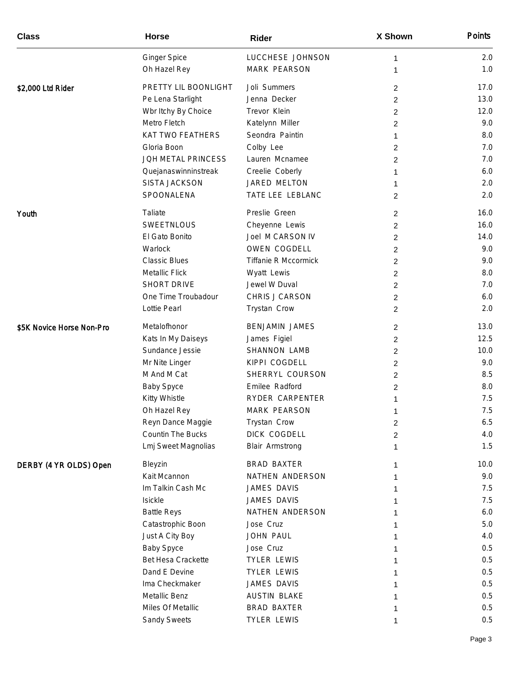| <b>Class</b>              | <b>Horse</b>            | Rider                       | X Shown        | Points |
|---------------------------|-------------------------|-----------------------------|----------------|--------|
|                           | <b>Ginger Spice</b>     | LUCCHESE JOHNSON            | 1              | 2.0    |
|                           | Oh Hazel Rey            | MARK PEARSON                | 1              | 1.0    |
| \$2,000 Ltd Rider         | PRETTY LIL BOONLIGHT    | Joli Summers                | $\overline{2}$ | 17.0   |
|                           | Pe Lena Starlight       | Jenna Decker                | $\overline{2}$ | 13.0   |
|                           | Wbr Itchy By Choice     | Trevor Klein                | $\overline{2}$ | 12.0   |
|                           | Metro Fletch            | Katelynn Miller             | 2              | 9.0    |
|                           | <b>KAT TWO FEATHERS</b> | Seondra Paintin             | 1              | 8.0    |
|                           | Gloria Boon             | Colby Lee                   | 2              | 7.0    |
|                           | JOH METAL PRINCESS      | Lauren Mcnamee              | 2              | 7.0    |
|                           | Quejanaswinninstreak    | Creelie Coberly             | 1              | 6.0    |
|                           | SISTA JACKSON           | JARED MELTON                | 1              | 2.0    |
|                           | SPOONALENA              | TATE LEE LEBLANC            | $\overline{2}$ | 2.0    |
| Youth                     | Taliate                 | Preslie Green               | 2              | 16.0   |
|                           | SWEETNLOUS              | Cheyenne Lewis              | 2              | 16.0   |
|                           | El Gato Bonito          | Joel M CARSON IV            | 2              | 14.0   |
|                           | Warlock                 | OWEN COGDELL                | 2              | 9.0    |
|                           | <b>Classic Blues</b>    | <b>Tiffanie R Mccormick</b> | 2              | 9.0    |
|                           | <b>Metallic Flick</b>   | Wyatt Lewis                 | $\overline{2}$ | 8.0    |
|                           | SHORT DRIVE             | Jewel W Duval               | 2              | 7.0    |
|                           | One Time Troubadour     | CHRIS J CARSON              | $\overline{2}$ | 6.0    |
|                           | Lottie Pearl            | Trystan Crow                | $\overline{2}$ | 2.0    |
| \$5K Novice Horse Non-Pro | Metalofhonor            | <b>BENJAMIN JAMES</b>       | $\overline{2}$ | 13.0   |
|                           | Kats In My Daiseys      | James Figiel                | 2              | 12.5   |
|                           | Sundance Jessie         | SHANNON LAMB                | $\overline{2}$ | 10.0   |
|                           | Mr Nite Linger          | KIPPI COGDELL               | 2              | 9.0    |
|                           | M And M Cat             | SHERRYL COURSON             | 2              | 8.5    |
|                           | <b>Baby Spyce</b>       | Emilee Radford              | 2              | 8.0    |
|                           | Kitty Whistle           | RYDER CARPENTER             |                | 7.5    |
|                           | Oh Hazel Rey            | MARK PEARSON                |                | 7.5    |
|                           | Reyn Dance Maggie       | Trystan Crow                | $\overline{2}$ | 6.5    |
|                           | Countin The Bucks       | DICK COGDELL                | 2              | 4.0    |
|                           | Lmj Sweet Magnolias     | Blair Armstrong             | 1              | 1.5    |
| DERBY (4 YR OLDS) Open    | Bleyzin                 | <b>BRAD BAXTER</b>          | 1              | 10.0   |
|                           | Kait Mcannon            | NATHEN ANDERSON             | 1              | 9.0    |
|                           | Im Talkin Cash Mc       | JAMES DAVIS                 |                | 7.5    |
|                           | Isickle                 | JAMES DAVIS                 |                | 7.5    |
|                           | <b>Battle Reys</b>      | NATHEN ANDERSON             |                | 6.0    |
|                           | Catastrophic Boon       | Jose Cruz                   |                | 5.0    |
|                           | Just A City Boy         | JOHN PAUL                   |                | 4.0    |
|                           | <b>Baby Spyce</b>       | Jose Cruz                   |                | 0.5    |
|                           | Bet Hesa Crackette      | <b>TYLER LEWIS</b>          |                | 0.5    |
|                           | Dand E Devine           | <b>TYLER LEWIS</b>          |                | 0.5    |
|                           | Ima Checkmaker          | JAMES DAVIS                 |                | 0.5    |
|                           | Metallic Benz           | <b>AUSTIN BLAKE</b>         |                | 0.5    |
|                           | Miles Of Metallic       | <b>BRAD BAXTER</b>          |                | 0.5    |
|                           | Sandy Sweets            | <b>TYLER LEWIS</b>          | 1              | 0.5    |